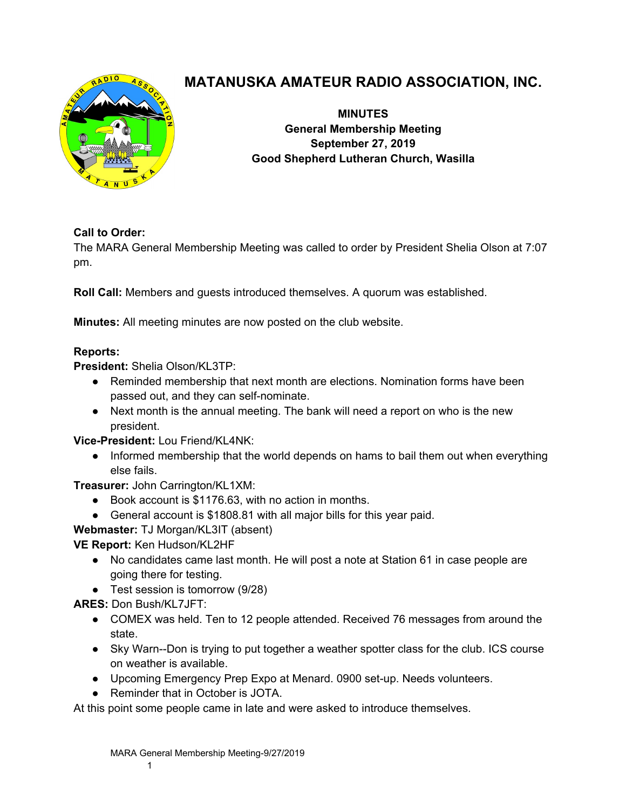

# **MATANUSKA AMATEUR RADIO ASSOCIATION, INC.**

**MINUTES General Membership Meeting September 27, 2019 Good Shepherd Lutheran Church, Wasilla** 

## **Call to Order:**

The MARA General Membership Meeting was called to order by President Shelia Olson at 7:07 pm.

**Roll Call:** Members and guests introduced themselves. A quorum was established.

**Minutes:** All meeting minutes are now posted on the club website.

### **Reports:**

**President:** Shelia Olson/KL3TP:

- Reminded membership that next month are elections. Nomination forms have been passed out, and they can self-nominate.
- Next month is the annual meeting. The bank will need a report on who is the new president.

**Vice-President:** Lou Friend/KL4NK:

• Informed membership that the world depends on hams to bail them out when everything else fails.

**Treasurer:** John Carrington/KL1XM:

- Book account is \$1176.63, with no action in months.
- General account is \$1808.81 with all major bills for this year paid.

**Webmaster:** TJ Morgan/KL3IT (absent)

**VE Report:** Ken Hudson/KL2HF

- No candidates came last month. He will post a note at Station 61 in case people are going there for testing.
- Test session is tomorrow (9/28)

**ARES:** Don Bush/KL7JFT:

- COMEX was held. Ten to 12 people attended. Received 76 messages from around the state.
- Sky Warn--Don is trying to put together a weather spotter class for the club. ICS course on weather is available.
- Upcoming Emergency Prep Expo at Menard. 0900 set-up. Needs volunteers.
- Reminder that in October is JOTA.

At this point some people came in late and were asked to introduce themselves.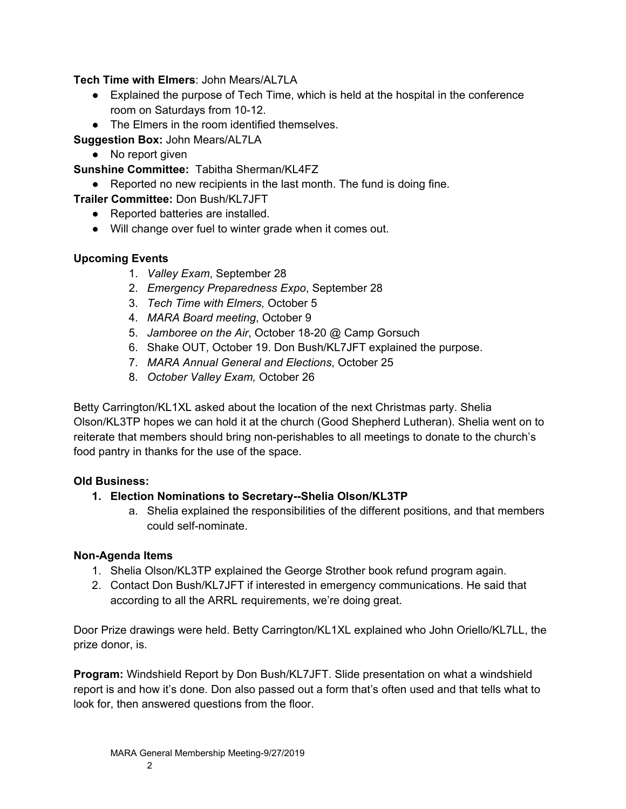**Tech Time with Elmers**: John Mears/AL7LA

- Explained the purpose of Tech Time, which is held at the hospital in the conference room on Saturdays from 10-12.
- The Elmers in the room identified themselves.

**Suggestion Box:** John Mears/AL7LA

• No report given

**Sunshine Committee:** Tabitha Sherman/KL4FZ

- Reported no new recipients in the last month. The fund is doing fine.
- **Trailer Committee:** Don Bush/KL7JFT
	- Reported batteries are installed.
	- Will change over fuel to winter grade when it comes out.

#### **Upcoming Events**

- 1. *Valley Exam*, September 28
- 2. *Emergency Preparedness Expo*, September 28
- 3. *Tech Time with Elmers,* October 5
- 4. *MARA Board meeting*, October 9
- 5. *Jamboree on the Air*, October 18-20 @ Camp Gorsuch
- 6. Shake OUT, October 19. Don Bush/KL7JFT explained the purpose.
- 7. *MARA Annual General and Elections*, October 25
- 8. *October Valley Exam,* October 26

Betty Carrington/KL1XL asked about the location of the next Christmas party. Shelia Olson/KL3TP hopes we can hold it at the church (Good Shepherd Lutheran). Shelia went on to reiterate that members should bring non-perishables to all meetings to donate to the church's food pantry in thanks for the use of the space.

#### **Old Business:**

#### **1. Election Nominations to Secretary--Shelia Olson/KL3TP**

a. Shelia explained the responsibilities of the different positions, and that members could self-nominate.

#### **Non-Agenda Items**

- 1. Shelia Olson/KL3TP explained the George Strother book refund program again.
- 2. Contact Don Bush/KL7JFT if interested in emergency communications. He said that according to all the ARRL requirements, we're doing great.

Door Prize drawings were held. Betty Carrington/KL1XL explained who John Oriello/KL7LL, the prize donor, is.

**Program:** Windshield Report by Don Bush/KL7JFT. Slide presentation on what a windshield report is and how it's done. Don also passed out a form that's often used and that tells what to look for, then answered questions from the floor.